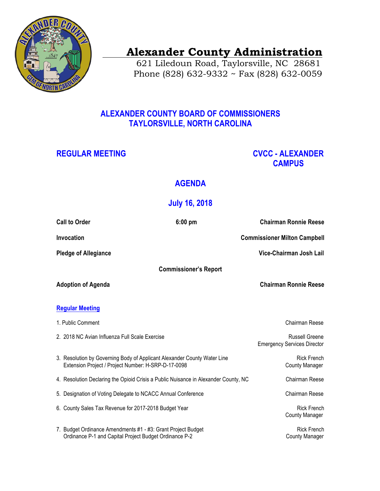

# **Alexander County Administration**

 621 Liledoun Road, Taylorsville, NC 28681 Phone (828) 632-9332 ~ Fax (828) 632-0059

### **ALEXANDER COUNTY BOARD OF COMMISSIONERS TAYLORSVILLE, NORTH CAROLINA**

### **REGULAR MEETING CVCC - ALEXANDER CAMPUS**

## **AGENDA**

## **July 16, 2018**

|                              | <b>Call to Order</b>                                                                                                            | $6:00$ pm                    | <b>Chairman Ronnie Reese</b>                                |
|------------------------------|---------------------------------------------------------------------------------------------------------------------------------|------------------------------|-------------------------------------------------------------|
| Invocation                   |                                                                                                                                 |                              | <b>Commissioner Milton Campbell</b>                         |
|                              | <b>Pledge of Allegiance</b>                                                                                                     |                              | Vice-Chairman Josh Lail                                     |
| <b>Commissioner's Report</b> |                                                                                                                                 |                              |                                                             |
| <b>Adoption of Agenda</b>    |                                                                                                                                 | <b>Chairman Ronnie Reese</b> |                                                             |
| <b>Regular Meeting</b>       |                                                                                                                                 |                              |                                                             |
|                              |                                                                                                                                 |                              |                                                             |
|                              | 1. Public Comment                                                                                                               |                              | Chairman Reese                                              |
|                              | 2. 2018 NC Avian Influenza Full Scale Exercise                                                                                  |                              | <b>Russell Greene</b><br><b>Emergency Services Director</b> |
|                              | 3. Resolution by Governing Body of Applicant Alexander County Water Line<br>Extension Project / Project Number: H-SRP-D-17-0098 |                              | <b>Rick French</b><br><b>County Manager</b>                 |
|                              | 4. Resolution Declaring the Opioid Crisis a Public Nuisance in Alexander County, NC                                             |                              | Chairman Reese                                              |
|                              | 5. Designation of Voting Delegate to NCACC Annual Conference                                                                    |                              | Chairman Reese                                              |
|                              | 6. County Sales Tax Revenue for 2017-2018 Budget Year                                                                           |                              | <b>Rick French</b><br><b>County Manager</b>                 |
|                              | 7. Budget Ordinance Amendments #1 - #3: Grant Project Budget<br>Ordinance P-1 and Capital Project Budget Ordinance P-2          |                              | <b>Rick French</b><br><b>County Manager</b>                 |